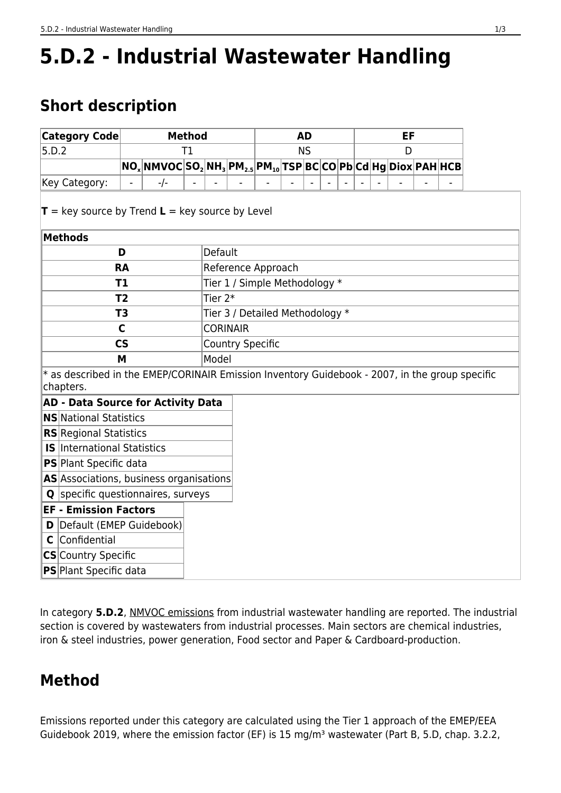# **5.D.2 - Industrial Wastewater Handling**

# **Short description**

| Category Code                                                                                               | <b>Method</b> |                                                                                                                                                                                                                                        |    |                               |                                 | <b>AD</b> |  |  |  |  | EF |  |   |  |  |  |  |
|-------------------------------------------------------------------------------------------------------------|---------------|----------------------------------------------------------------------------------------------------------------------------------------------------------------------------------------------------------------------------------------|----|-------------------------------|---------------------------------|-----------|--|--|--|--|----|--|---|--|--|--|--|
| 5.D.2                                                                                                       |               |                                                                                                                                                                                                                                        | Τ1 |                               |                                 | <b>NS</b> |  |  |  |  |    |  | D |  |  |  |  |
|                                                                                                             |               | $\overline{\mathsf{NO_x N} \mathsf{NNVOC} \mathsf{SO_2}  \mathsf{NH_3}  \mathsf{PM_{2.5}}  \mathsf{PM_{10}}  \mathsf{TSP} \mathsf{BC}  \mathsf{CO} \mathsf{Pb}  \mathsf{Cd}  \mathsf{Hg}  \mathsf{Diox}  \mathsf{PAH}  \mathsf{HCB} }$ |    |                               |                                 |           |  |  |  |  |    |  |   |  |  |  |  |
| Key Category:                                                                                               |               | $-/-$                                                                                                                                                                                                                                  |    |                               |                                 |           |  |  |  |  |    |  |   |  |  |  |  |
| $T = \text{key source by Trend } L = \text{key source by Level}$                                            |               |                                                                                                                                                                                                                                        |    |                               |                                 |           |  |  |  |  |    |  |   |  |  |  |  |
| <b>Methods</b>                                                                                              |               |                                                                                                                                                                                                                                        |    |                               |                                 |           |  |  |  |  |    |  |   |  |  |  |  |
| D                                                                                                           |               |                                                                                                                                                                                                                                        |    | Default                       |                                 |           |  |  |  |  |    |  |   |  |  |  |  |
| <b>RA</b>                                                                                                   |               |                                                                                                                                                                                                                                        |    | Reference Approach            |                                 |           |  |  |  |  |    |  |   |  |  |  |  |
| T1                                                                                                          |               |                                                                                                                                                                                                                                        |    | Tier 1 / Simple Methodology * |                                 |           |  |  |  |  |    |  |   |  |  |  |  |
| T <sub>2</sub>                                                                                              |               |                                                                                                                                                                                                                                        |    | Tier $2*$                     |                                 |           |  |  |  |  |    |  |   |  |  |  |  |
| T <sub>3</sub>                                                                                              |               |                                                                                                                                                                                                                                        |    |                               | Tier 3 / Detailed Methodology * |           |  |  |  |  |    |  |   |  |  |  |  |
| $\mathsf{C}$                                                                                                |               |                                                                                                                                                                                                                                        |    | <b>CORINAIR</b>               |                                 |           |  |  |  |  |    |  |   |  |  |  |  |
| $\mathsf{CS}\phantom{0}$                                                                                    |               |                                                                                                                                                                                                                                        |    | <b>Country Specific</b>       |                                 |           |  |  |  |  |    |  |   |  |  |  |  |
| M                                                                                                           |               |                                                                                                                                                                                                                                        |    | Model                         |                                 |           |  |  |  |  |    |  |   |  |  |  |  |
| * as described in the EMEP/CORINAIR Emission Inventory Guidebook - 2007, in the group specific<br>chapters. |               |                                                                                                                                                                                                                                        |    |                               |                                 |           |  |  |  |  |    |  |   |  |  |  |  |
| <b>AD - Data Source for Activity Data</b>                                                                   |               |                                                                                                                                                                                                                                        |    |                               |                                 |           |  |  |  |  |    |  |   |  |  |  |  |
| <b>NS</b> National Statistics                                                                               |               |                                                                                                                                                                                                                                        |    |                               |                                 |           |  |  |  |  |    |  |   |  |  |  |  |
| <b>RS</b> Regional Statistics                                                                               |               |                                                                                                                                                                                                                                        |    |                               |                                 |           |  |  |  |  |    |  |   |  |  |  |  |
| <b>IS</b> International Statistics                                                                          |               |                                                                                                                                                                                                                                        |    |                               |                                 |           |  |  |  |  |    |  |   |  |  |  |  |
| <b>PS</b> Plant Specific data                                                                               |               |                                                                                                                                                                                                                                        |    |                               |                                 |           |  |  |  |  |    |  |   |  |  |  |  |
| AS Associations, business organisations                                                                     |               |                                                                                                                                                                                                                                        |    |                               |                                 |           |  |  |  |  |    |  |   |  |  |  |  |
| <b>Q</b> specific questionnaires, surveys                                                                   |               |                                                                                                                                                                                                                                        |    |                               |                                 |           |  |  |  |  |    |  |   |  |  |  |  |
| <b>EF - Emission Factors</b>                                                                                |               |                                                                                                                                                                                                                                        |    |                               |                                 |           |  |  |  |  |    |  |   |  |  |  |  |
| Default (EMEP Guidebook)<br>D                                                                               |               |                                                                                                                                                                                                                                        |    |                               |                                 |           |  |  |  |  |    |  |   |  |  |  |  |
| Confidential<br>C                                                                                           |               |                                                                                                                                                                                                                                        |    |                               |                                 |           |  |  |  |  |    |  |   |  |  |  |  |
| CS Country Specific                                                                                         |               |                                                                                                                                                                                                                                        |    |                               |                                 |           |  |  |  |  |    |  |   |  |  |  |  |
| <b>PS</b> Plant Specific data                                                                               |               |                                                                                                                                                                                                                                        |    |                               |                                 |           |  |  |  |  |    |  |   |  |  |  |  |

In category **5.D.2**, NMVOC emissions from industrial wastewater handling are reported. The industrial section is covered by wastewaters from industrial processes. Main sectors are chemical industries, iron & steel industries, power generation, Food sector and Paper & Cardboard-production.

# **Method**

<span id="page-0-0"></span>Emissions reported under this category are calculated using the Tier 1 approach of the EMEP/EEA Guidebook 2019, where the emission factor (EF) is 15 mg/m<sup>3</sup> wastewater (Part B, 5.D, chap. 3.2.2,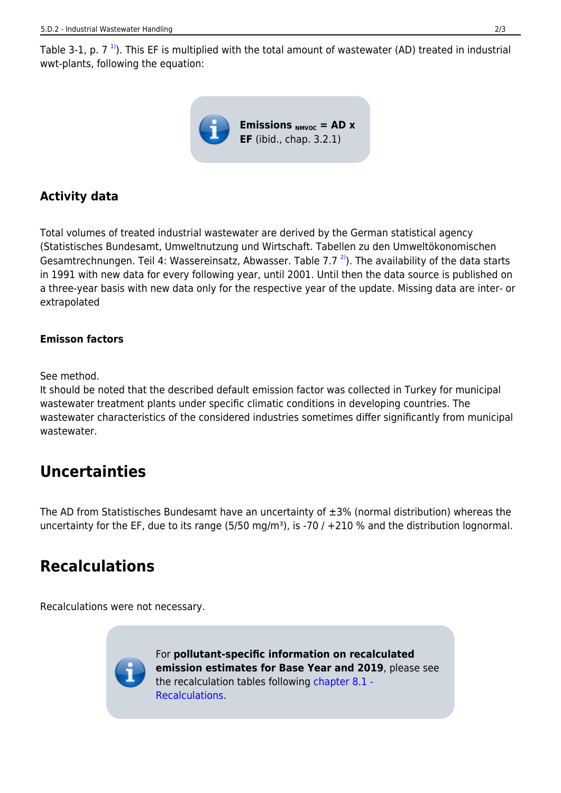Table 3-1, p. 7<sup>1</sup>). This EF is multiplied with the total amount of wastewater (AD) treated in industrial wwt-plants, following the equation:



### **Activity data**

<span id="page-1-0"></span>Total volumes of treated industrial wastewater are derived by the German statistical agency (Statistisches Bundesamt, Umweltnutzung und Wirtschaft. Tabellen zu den Umweltökonomischen Gesamtrechnungen. Teil 4: Wassereinsatz, Abwasser. Table 7.7<sup>2</sup>). The availability of the data starts in 1991 with new data for every following year, until 2001. Until then the data source is published on a three-year basis with new data only for the respective year of the update. Missing data are inter- or extrapolated

#### **Emisson factors**

#### See method.

It should be noted that the described default emission factor was collected in Turkey for municipal wastewater treatment plants under specific climatic conditions in developing countries. The wastewater characteristics of the considered industries sometimes differ significantly from municipal wastewater.

### **Uncertainties**

The AD from Statistisches Bundesamt have an uncertainty of ±3% (normal distribution) whereas the uncertainty for the EF, due to its range (5/50 mg/m<sup>3</sup>), is -70 / +210 % and the distribution lognormal.

# **Recalculations**

Recalculations were not necessary.

For **pollutant-specific information on recalculated emission estimates for Base Year and 2019**, please see the recalculation tables following [chapter 8.1 -](https://iir.umweltbundesamt.de/2022/general/recalculations/start) [Recalculations](https://iir.umweltbundesamt.de/2022/general/recalculations/start).